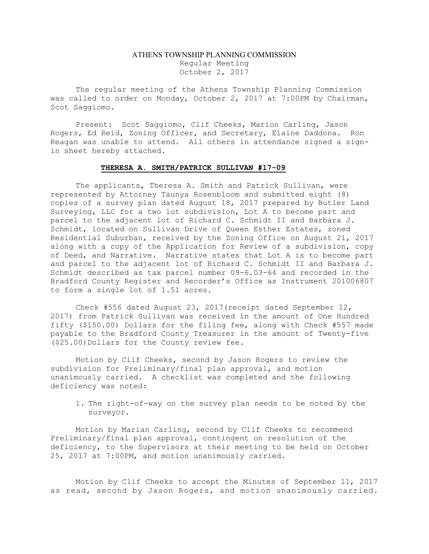## ATHENS TOWNSHIP PLANNING COMMISSION Regular Meeting October 2, 2017

The regular meeting of the Athens Township Planning Commission was called to order on Monday, October 2, 2017 at 7:00PM by Chairman, Scot Saggiomo.

Present: Scot Saggiomo, Clif Cheeks, Marion Carling, Jason Rogers, Ed Reid, Zoning Officer, and Secretary, Elaine Daddona. Ron Reagan was unable to attend. All others in attendance signed a signin sheet hereby attached.

## THERESA A. SMITH/PATRICK SULLIVAN #17-09

The applicants, Theresa A. Smith and Patrick Sullivan, were represented by Attorney Taunya Rosenbloom and submitted eight (8) copies of a survey plan dated August 18, 2017 prepared by Butler Land Surveying, LLC for a two lot subdivision, Lot A to become part and parcel to the adjacent lot of Richard C. Schmidt II and Barbara J. Schmidt, located on Sullivan Drive of Queen Esther Estates, zoned Residential Suburban, received by the Zoning Office on August 21, 2017 along with a copy of the Application for Review of a subdivision, copy of Deed, and Narrative. Narrative states that Lot A is to become part and parcel to the adjacent lot of Richard C. Schmidt II and Barbara J. Schmidt described as tax parcel number 09-6.03-64 and recorded in the Bradford County Register and Recorder's Office as Instrument 201006807 to form a single lot of 1.51 acres.

 Check #556 dated August 23, 2017(receipt dated September 12, 2017) from Patrick Sullivan was received in the amount of One Hundred fifty (\$150.00) Dollars for the filing fee, along with Check #557 made payable to the Bradford County Treasurer in the amount of Twenty-five (\$25.00)Dollars for the County review fee.

 Motion by Clif Cheeks, second by Jason Rogers to review the subdivision for Preliminary/final plan approval, and motion unanimously carried. A checklist was completed and the following deficiency was noted:

1. The right-of-way on the survey plan needs to be noted by the surveyor.

Motion by Marian Carling, second by Clif Cheeks to recommend Preliminary/final plan approval, contingent on resolution of the deficiency, to the Supervisors at their meeting to be held on October 25, 2017 at 7:00PM, and motion unanimously carried.

 Motion by Clif Cheeks to accept the Minutes of September 11, 2017 as read, second by Jason Rogers, and motion unanimously carried.